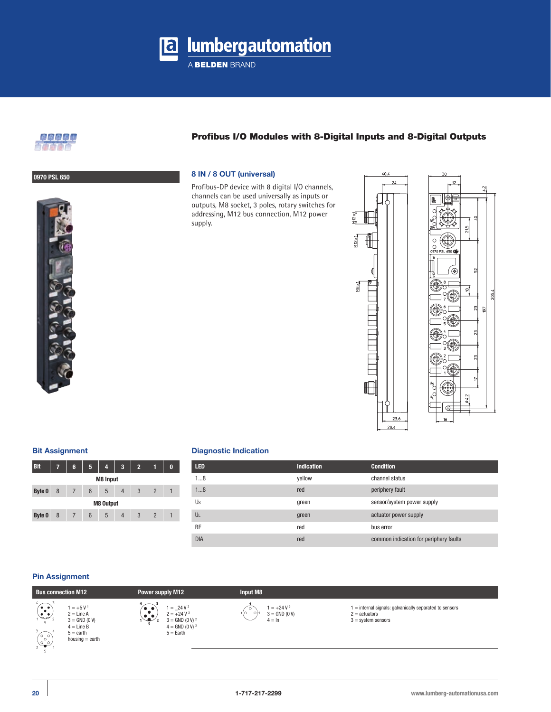**a** lumbergautomation

A BELDEN BRAND



## Profibus I/O Modules with 8-Digital Inputs and 8-Digital Outputs

## **0970 PSL 650 8 IN / 8 OUT (universal)**

Profibus-DP device with 8 digital I/O channels, channels can be used universally as inputs or outputs, M8 socket, 3 poles, rotary switches for addressing, M12 bus connection, M12 power supply.



205.4

## **Bit Assignment**

| 7                | 6 | 5 | 4 | 3              | $\overline{2}$ |                | 0 |  |  |
|------------------|---|---|---|----------------|----------------|----------------|---|--|--|
| <b>M8 Input</b>  |   |   |   |                |                |                |   |  |  |
| 8                | 7 | 6 | 5 | $\overline{4}$ | 3              | $\overline{2}$ |   |  |  |
| <b>M8 Output</b> |   |   |   |                |                |                |   |  |  |
| 8                |   | 6 | 5 | 4              | 3              | $\overline{2}$ |   |  |  |
|                  |   |   |   |                |                |                |   |  |  |

### **Diagnostic Indication**

| <b>LED</b> | <b>Indication</b> | <b>Condition</b>                       |
|------------|-------------------|----------------------------------------|
| 18         | yellow            | channel status                         |
| 18         | red               | periphery fault                        |
| Us         | green             | sensor/system power supply             |
| UL         | green             | actuator power supply                  |
| <b>BF</b>  | red               | bus error                              |
| <b>DIA</b> | red               | common indication for periphery faults |

## **Pin Assignment**